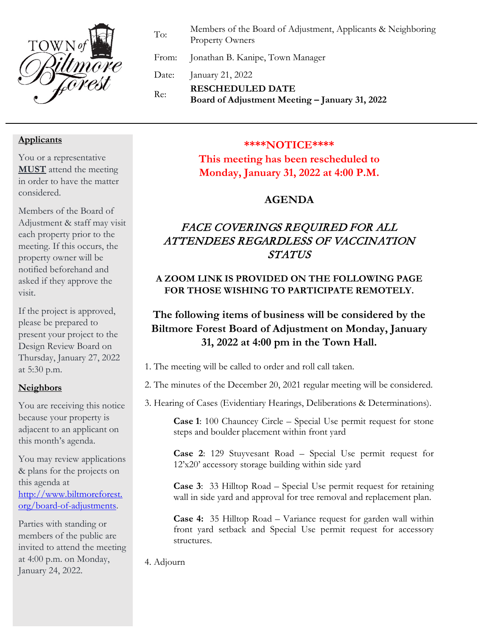

To: Members of the Board of Adjustment, Applicants & Neighboring Property Owners

From: Jonathan B. Kanipe, Town Manager

Date: January 21, 2022

Re: **RESCHEDULED DATE Board of Adjustment Meeting – January 31, 2022**

### **Applicants**

You or a representative **MUST** attend the meeting in order to have the matter considered.

Members of the Board of Adjustment & staff may visit each property prior to the meeting. If this occurs, the property owner will be notified beforehand and asked if they approve the visit.

If the project is approved, please be prepared to present your project to the Design Review Board on Thursday, January 27, 2022 at 5:30 p.m.

### **Neighbors**

You are receiving this notice because your property is adjacent to an applicant on this month's agenda.

You may review applications & plans for the projects on this agenda at [http://www.biltmoreforest.](http://www.biltmoreforest.org/board-of-adjustments) [org/board-of-adjustments.](http://www.biltmoreforest.org/board-of-adjustments)

Parties with standing or members of the public are invited to attend the meeting at 4:00 p.m. on Monday, January 24, 2022.

#### **\*\*\*\*NOTICE\*\*\*\***

**This meeting has been rescheduled to Monday, January 31, 2022 at 4:00 P.M.**

### **AGENDA**

## FACE COVERINGS REQUIRED FOR ALL ATTENDEES REGARDLESS OF VACCINATION STATUS

### **A ZOOM LINK IS PROVIDED ON THE FOLLOWING PAGE FOR THOSE WISHING TO PARTICIPATE REMOTELY.**

# **The following items of business will be considered by the Biltmore Forest Board of Adjustment on Monday, January 31, 2022 at 4:00 pm in the Town Hall.**

1. The meeting will be called to order and roll call taken.

2. The minutes of the December 20, 2021 regular meeting will be considered.

3. Hearing of Cases (Evidentiary Hearings, Deliberations & Determinations).

**Case 1**: 100 Chauncey Circle – Special Use permit request for stone steps and boulder placement within front yard

**Case 2**: 129 Stuyvesant Road – Special Use permit request for 12'x20' accessory storage building within side yard

**Case 3**: 33 Hilltop Road – Special Use permit request for retaining wall in side yard and approval for tree removal and replacement plan.

**Case 4:** 35 Hilltop Road – Variance request for garden wall within front yard setback and Special Use permit request for accessory structures.

4. Adjourn